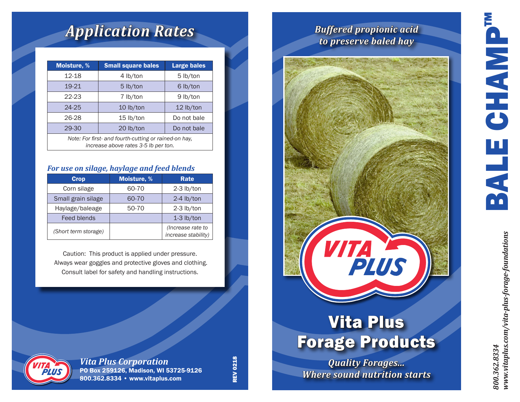# BALE CHAMP™ **GHANP** BALE

## *Application Rates*

| <b>Moisture, %</b>                                                                            | <b>Small square bales</b> | <b>Large bales</b> |  |
|-----------------------------------------------------------------------------------------------|---------------------------|--------------------|--|
| 12-18                                                                                         | $4$ lb/ton                | 5 lb/ton           |  |
| 19-21                                                                                         | $5$ lb/ton                | 6 lb/ton           |  |
| $22 - 23$                                                                                     | 7 lb/ton                  | 9 lb/ton           |  |
| $24 - 25$                                                                                     | $10$ lb/ton               | $12$ lb/ton        |  |
| 26-28                                                                                         | $15$ lb/ton               | Do not bale        |  |
| 29-30                                                                                         | 20 lb/ton                 | Do not bale        |  |
| Note: For first- and fourth-cutting or rained-on hay,<br>increase above rates 3-5 lb per ton. |                           |                    |  |

#### *For use on silage, haylage and feed blends*

| <b>Crop</b>          | <b>Moisture, %</b> | Rate                                     |
|----------------------|--------------------|------------------------------------------|
| Corn silage          | 60-70              | $2-3$ lb/ton                             |
| Small grain silage   | 60-70              | $2-4$ lb/ton                             |
| Haylage/baleage      | 50-70              | 2-3 lb/ton                               |
| Feed blends          |                    | $1-3$ lb/ton                             |
| (Short term storage) |                    | (Increase rate to<br>increase stability) |

Caution: This product is applied under pressure. Always wear goggles and protective gloves and clothing. Consult label for safety and handling instructions.



*Vita Plus Corporation* PO Box 259126, Madison, WI 53725-9126 800.362.8334 • www.vitaplus.com

**REV 0218** REV 0218

### *Buffered propionic acid to preserve baled hay*



## Vita Plus Forage Products

*Quality Forages... Where sound nutrition starts*